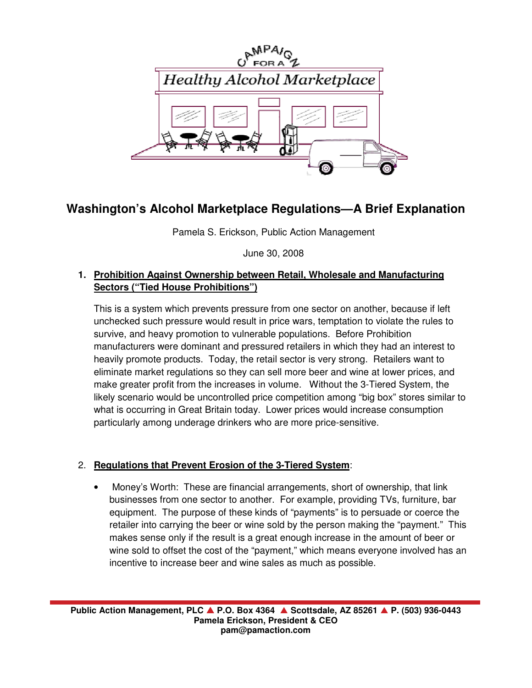

# **Washington's Alcohol Marketplace Regulations—A Brief Explanation**

Pamela S. Erickson, Public Action Management

June 30, 2008

### **1. Prohibition Against Ownership between Retail, Wholesale and Manufacturing Sectors ("Tied House Prohibitions")**

This is a system which prevents pressure from one sector on another, because if left unchecked such pressure would result in price wars, temptation to violate the rules to survive, and heavy promotion to vulnerable populations. Before Prohibition manufacturers were dominant and pressured retailers in which they had an interest to heavily promote products. Today, the retail sector is very strong. Retailers want to eliminate market regulations so they can sell more beer and wine at lower prices, and make greater profit from the increases in volume. Without the 3-Tiered System, the likely scenario would be uncontrolled price competition among "big box" stores similar to what is occurring in Great Britain today. Lower prices would increase consumption particularly among underage drinkers who are more price-sensitive.

# 2. **Regulations that Prevent Erosion of the 3-Tiered System**:

• Money's Worth: These are financial arrangements, short of ownership, that link businesses from one sector to another. For example, providing TVs, furniture, bar equipment. The purpose of these kinds of "payments" is to persuade or coerce the retailer into carrying the beer or wine sold by the person making the "payment." This makes sense only if the result is a great enough increase in the amount of beer or wine sold to offset the cost of the "payment," which means everyone involved has an incentive to increase beer and wine sales as much as possible.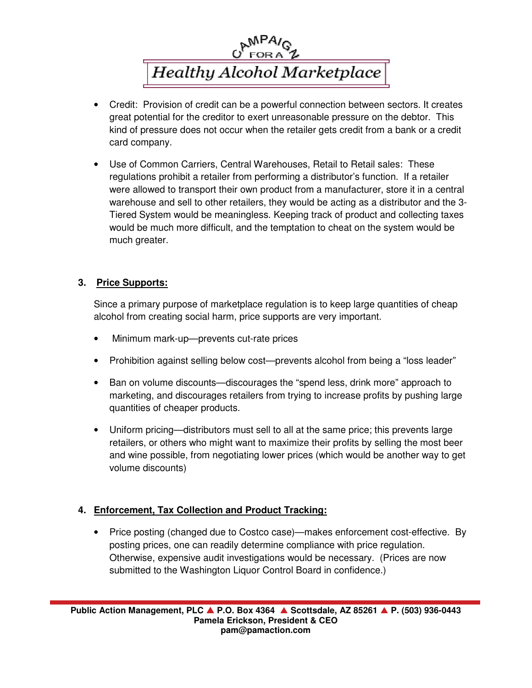

- Credit: Provision of credit can be a powerful connection between sectors. It creates great potential for the creditor to exert unreasonable pressure on the debtor. This kind of pressure does not occur when the retailer gets credit from a bank or a credit card company.
- Use of Common Carriers, Central Warehouses, Retail to Retail sales: These regulations prohibit a retailer from performing a distributor's function. If a retailer were allowed to transport their own product from a manufacturer, store it in a central warehouse and sell to other retailers, they would be acting as a distributor and the 3- Tiered System would be meaningless. Keeping track of product and collecting taxes would be much more difficult, and the temptation to cheat on the system would be much greater.

#### **3. Price Supports:**

Since a primary purpose of marketplace regulation is to keep large quantities of cheap alcohol from creating social harm, price supports are very important.

- Minimum mark-up—prevents cut-rate prices
- Prohibition against selling below cost—prevents alcohol from being a "loss leader"
- Ban on volume discounts—discourages the "spend less, drink more" approach to marketing, and discourages retailers from trying to increase profits by pushing large quantities of cheaper products.
- Uniform pricing—distributors must sell to all at the same price; this prevents large retailers, or others who might want to maximize their profits by selling the most beer and wine possible, from negotiating lower prices (which would be another way to get volume discounts)

## **4. Enforcement, Tax Collection and Product Tracking:**

• Price posting (changed due to Costco case)—makes enforcement cost-effective. By posting prices, one can readily determine compliance with price regulation. Otherwise, expensive audit investigations would be necessary. (Prices are now submitted to the Washington Liquor Control Board in confidence.)